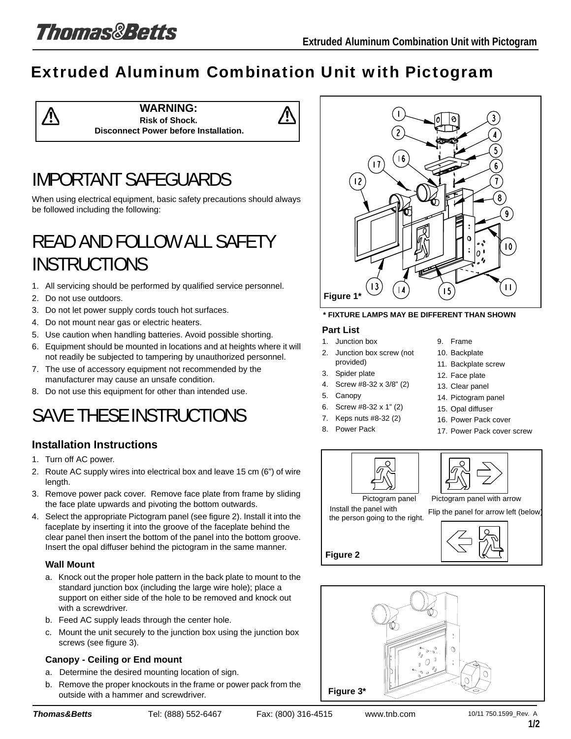# Extruded Aluminum Combination Unit with Pictogram



# IMPORTANT SAFEGUARDS

When using electrical equipment, basic safety precautions should always be followed including the following:

# READ AND FOLLOW ALL SAFETY **INSTRUCTIONS**

- 1. All servicing should be performed by qualified service personnel.
- 2. Do not use outdoors.
- 3. Do not let power supply cords touch hot surfaces.
- 4. Do not mount near gas or electric heaters.
- 5. Use caution when handling batteries. Avoid possible shorting.
- 6. Equipment should be mounted in locations and at heights where it will not readily be subjected to tampering by unauthorized personnel.
- 7. The use of accessory equipment not recommended by the manufacturer may cause an unsafe condition.
- 8. Do not use this equipment for other than intended use.

# SAVE THESE INSTRUCTIONS

# **Installation Instructions**

- 1. Turn off AC power.
- 2. Route AC supply wires into electrical box and leave 15 cm (6") of wire length.
- 3. Remove power pack cover. Remove face plate from frame by sliding the face plate upwards and pivoting the bottom outwards.
- 4. Select the appropriate Pictogram panel (see figure 2). Install it into the faceplate by inserting it into the groove of the faceplate behind the clear panel then insert the bottom of the panel into the bottom groove. Insert the opal diffuser behind the pictogram in the same manner.

## **Wall Mount**

- a. Knock out the proper hole pattern in the back plate to mount to the standard junction box (including the large wire hole); place a support on either side of the hole to be removed and knock out with a screwdriver.
- b. Feed AC supply leads through the center hole.
- c. Mount the unit securely to the junction box using the junction box screws (see figure 3).

## **Canopy - Ceiling or End mount**

- a. Determine the desired mounting location of sign.
- b. Remove the proper knockouts in the frame or power pack from the outside with a hammer and screwdriver.



### **\* FIXTURE LAMPS MAY BE DIFFERENT THAN SHOWN**

### **Part List**

- 1. Junction box
- 2. Junction box screw (not provided)
- 3. Spider plate
- 4. Screw #8-32 x 3/8" (2)
- 5. Canopy
- 6. Screw #8-32 x 1" (2)
- 7. Keps nuts #8-32 (2)
- 8. Power Pack

**Figure 2**

- 9. Frame
- 10. Backplate
- 11. Backplate screw
- 12. Face plate
- 13. Clear panel
- 14. Pictogram panel
- 15. Opal diffuser
- 16. Power Pack cover
- 17. Power Pack cover screw



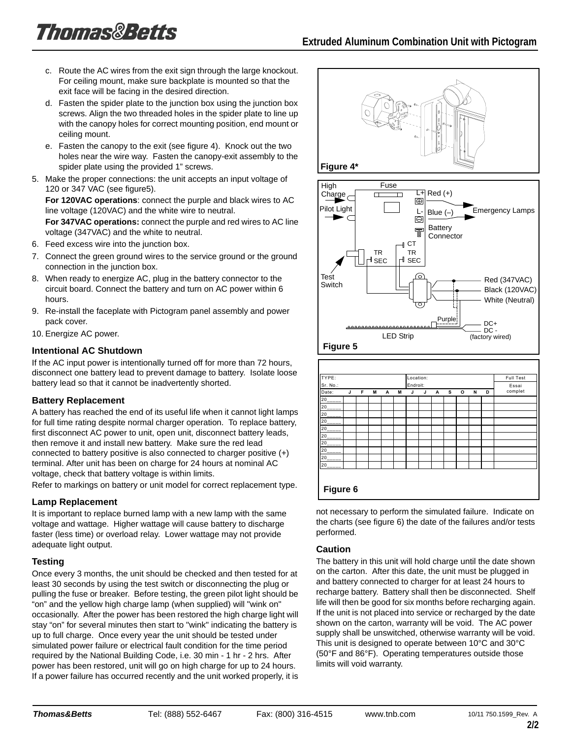- c. Route the AC wires from the exit sign through the large knockout. For ceiling mount, make sure backplate is mounted so that the exit face will be facing in the desired direction.
- d. Fasten the spider plate to the junction box using the junction box screws. Align the two threaded holes in the spider plate to line up with the canopy holes for correct mounting position, end mount or ceiling mount.
- e. Fasten the canopy to the exit (see figure 4). Knock out the two holes near the wire way. Fasten the canopy-exit assembly to the spider plate using the provided 1" screws.
- 5. Make the proper connections: the unit accepts an input voltage of 120 or 347 VAC (see figure5).

**For 120VAC operations**: connect the purple and black wires to AC line voltage (120VAC) and the white wire to neutral.

**For 347VAC operations:** connect the purple and red wires to AC line voltage (347VAC) and the white to neutral.

- 6. Feed excess wire into the junction box.
- 7. Connect the green ground wires to the service ground or the ground connection in the junction box.
- 8. When ready to energize AC, plug in the battery connector to the circuit board. Connect the battery and turn on AC power within 6 hours.
- 9. Re-install the faceplate with Pictogram panel assembly and power pack cover.
- 10. Energize AC power.

## **Intentional AC Shutdown**

If the AC input power is intentionally turned off for more than 72 hours, disconnect one battery lead to prevent damage to battery. Isolate loose battery lead so that it cannot be inadvertently shorted.

## **Battery Replacement**

A battery has reached the end of its useful life when it cannot light lamps for full time rating despite normal charger operation. To replace battery, first disconnect AC power to unit, open unit, disconnect battery leads, then remove it and install new battery. Make sure the red lead connected to battery positive is also connected to charger positive  $(+)$ terminal. After unit has been on charge for 24 hours at nominal AC voltage, check that battery voltage is within limits.

Refer to markings on battery or unit model for correct replacement type.

## **Lamp Replacement**

It is important to replace burned lamp with a new lamp with the same voltage and wattage. Higher wattage will cause battery to discharge faster (less time) or overload relay. Lower wattage may not provide adequate light output.

## **Testing**

Once every 3 months, the unit should be checked and then tested for at least 30 seconds by using the test switch or disconnecting the plug or pulling the fuse or breaker. Before testing, the green pilot light should be "on" and the yellow high charge lamp (when supplied) will "wink on" occasionally. After the power has been restored the high charge light will stay "on" for several minutes then start to "wink" indicating the battery is up to full charge. Once every year the unit should be tested under simulated power failure or electrical fault condition for the time period required by the National Building Code, i.e. 30 min - 1 hr - 2 hrs. After power has been restored, unit will go on high charge for up to 24 hours. If a power failure has occurred recently and the unit worked properly, it is



not necessary to perform the simulated failure. Indicate on the charts (see figure 6) the date of the failures and/or tests performed.

## **Caution**

The battery in this unit will hold charge until the date shown on the carton. After this date, the unit must be plugged in and battery connected to charger for at least 24 hours to recharge battery. Battery shall then be disconnected. Shelf life will then be good for six months before recharging again. If the unit is not placed into service or recharged by the date shown on the carton, warranty will be void. The AC power supply shall be unswitched, otherwise warranty will be void. This unit is designed to operate between 10°C and 30°C (50°F and 86°F). Operating temperatures outside those limits will void warranty.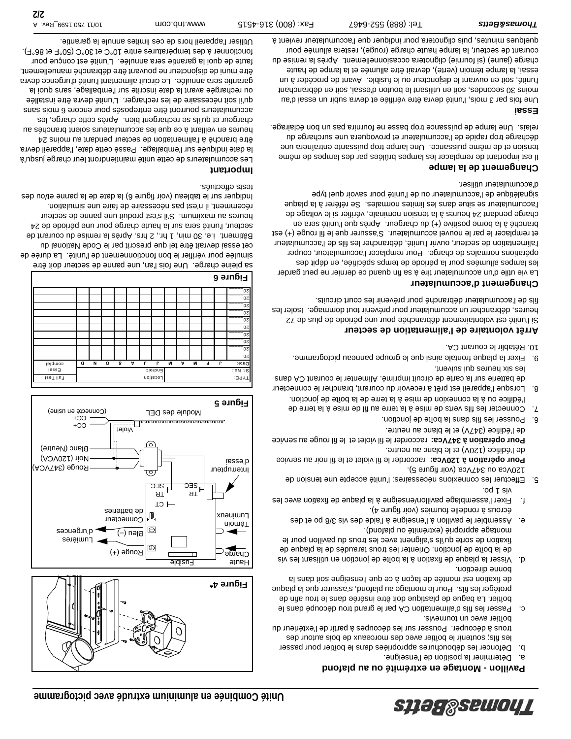Connecteur de batteries

Lumières

d'urgences

Rouge (347VCA)

Blanc (Neutre) Noir (120VCA)

 $C<sub>0</sub>$ (Connecté en usine)

CC+

Rouge (+)

 $\widetilde{(-)}$  nə $\mathsf{B}$ 

<u>təloiV</u><br>\_\_\_\_\_\_\_\_\_\_\_\_\_\_\_\_\_\_\_\_\_

Full Test TYPE: Location: Essai Endroit: Sr. No.: Date: J **F MAM J L GO AN D** Complet

sa pleine charge. Une fois l'an, une panne de secteur doit être simulée pour vérifier le bon fonctionnement de l'unité. La durée de cet essai devrait être tel que prescrit par le Code National du Bâtiment. i.e. 30 min, 1 hr., 2 hrs. Après la remise du courant de secteur, l'unité sera sur la haute charge pour une période de 24 heures au maximum. S'il s'est produit une panne de secteur récemment, il n'est pas nécessaire de faire une simulation. Indiquer sur le tableau (voir figure 6) la date de la panne et/ou des

**Figure 4\***

Fusible

**Common** 

TR SEC

CT TR **H**<sub>SEC</sub>

 $\Theta$  $\circledcirc$ 

Module des DEL

Haute Charge

Témoin xnəuıwn-

**Figure 5**

 $\overline{0}$ 20\_\_\_\_\_  $\overline{0}$ 20\_\_\_\_\_  $0z$ 20\_\_\_\_\_  $20$ 20\_\_\_\_\_  $\overline{0}$  $0z$ 

**Figure 6**

tests effectués. **Important**

> Interrupteur d'essai

## **Pavillon - Montage en extrémité ou au plafond**

- a. Déterminer la position de l'enseigne.
- b. Défoncer les débouchures appropriées dans le boîtier pour passer les fils; soutenir le boîtier avec des morceaux de bois autour des trous à découper. Pousser sur les découpes à partir de l'extérieur du boîtier avec un tournevis.
- c. Passer les fils d'alimentation CA par le grand trou découpé dans le boîtier. La bague de plastique doit être insérée dans le trou afin de protéger les fils. Pour le montage au plafond, s'assurer que la plaque de fixation est montée de façon à ce que l'enseigne soit dans la bonne direction.
- d. Visser la plaque de fixation à la boîte de jonction en utilisant les vis de la boîte de jonction. Orienter les trous taraudés de la plaque de fixation de sorte qu'ils s'alignent avec les trous du pavillon pour le montage approprié (extrémité ou plafond).
- e. Assembler le pavillon à l'enseigne à l'aide des vis 3/8 po et des écrous à rondelle fournies (voir figure 4).
- f. Fixer l'assemblage pavillon/enseigne à la plaque de fixation avec les vis 1 po.
- 5. Effectuer les connexions nécessaires: l'unité accepte une tension de 120Vca ou 347Vca (voir figure 5).

Pour opération à 120Vca: raccorder le fil violet et le fil noir au service de l'édifice (120V) et le blanc au neutre.

Pour opération à 347Vca: raccorder le fil violet et le fil rouge au service de l'édifice (347V) et le blanc au neutre.

- 6. Pousser les fils dans la boîte de jonction.
- 7. Connecter les fils verts de mise à la terre au fil de mise à la terre de l'édifice ou à la connexion de mise à la terre de la boîte de jonction.
- 8. Lorsque l'appareil est prêt à recevoir du courant, brancher le connecteur de batterie sur la carte de circuit imprimé. Alimenter le courant CA dans les six heures qui suivent.
- 9. Fixer la plaque frontale ainsi que le groupe panneau pictogramme.
- 10. Rétablir le courant CA.

## **Arrêt volontaire de l'alimentation de secteur**

Si l'unité est volontairement débranchée pour une période de plus de 72 heures, débrancher un accumulateur pour prévenir tout dommage. Isoler les fils de l'accumulateur débranché pour prévenir les court circuits.

# **Changement d'accumulateur**

La vie utile d'un accumulateur tire à sa fin quand ce dernier ne peut garder les lampes allumées pour la période de temps spécifiée, en dépit des opérations normales de charge. Pour remplacer l'accumulateur, couper l'alimentation de secteur, ouvrir l'unité, débrancher les fils de l'accumulateur et remplacer le par le nouvel accumulateur. S'assurer que le fil rouge (+) est branché à la borne positive (+) du chargeur. Après que l'unité sera en charge pendant 24 heures à la tension nominale, vérifier si le voltage de l'accumulateur se situe dans les limites normales. Se référer à la plaque signalétique de l'accumulateur ou de l'unité pour savoir quel type d'accumulateur utiliser.

# **Changement de la lampe**

Il est important de remplacer les lampes brûlées par des lampes de même tension et de même puissance. Une lampe trop puissante entraînera une décharge trop rapide de l'accumulateur et provoquera une surcharge du relais. Une lampe de puissance trop basse ne fournira pas un bon éclairage.

# **Essai**

Une fois par 3 mois, l'unité devra être vérifiée et devra subir un essai d'au moins 30 secondes, soit en utilisant le bouton d'essai, soit en débranchant l'unité, soit en ouvrant le disjoncteur ou le fusible. Avant de procéder à un essai, la lampe témoin (verte), devrait être allumée et la lampe de haute charge (jaune) (si fournie) clignotera occasionnellement. Après la remise du courant de secteur, la lampe haute charge (rouge), restera allumée pour quelques minutes, puis clignotera pour indiquer que l'accumulateur revient à

Les accumulateurs de cette unité maintiendront leur charge jusqu'à la date indiquée sur l'emballage. Passé cette date, l'appareil devra être branché à l'alimentation de secteur pendant au moins 24 heures en veillant à ce que les accumulateurs soient branchés au chargeur et qu'ils se rechargent bien. Après cette charge, les accumulateurs pourront être entreposés pour encore 6 mois sans qu'il soit nécessaire de les recharger. L'unité devra être installée ou rechargée avant la date inscrite sur l'emballage, sans quoi la garantie sera annulée. Le circuit alimentant l'unité d'urgence devra être muni de disjoncteur ne pouvant être débranché manuellement, faute de quoi la garantie sera annulée. L'unité est conçue pour fonctionner à des températures entre 10°C et 30°C (50°F et 86°F). Utiliser l'appareil hors de ces limites annule la garantie.

**2/2** 10/11 750.1599\_Rev. A